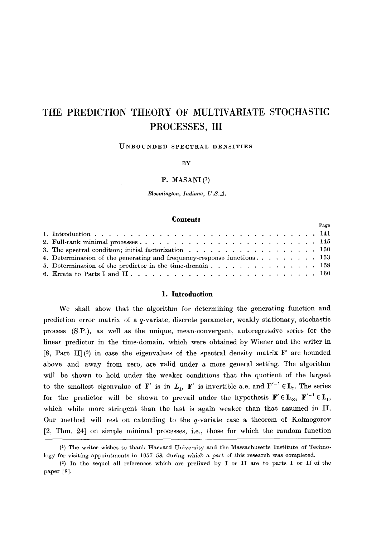# **THE PREDICTION THEORY OF MULTIVARIATE STOCHASTIC PROCESSES, III**

#### **UNBOUNDED SPECTRAL DENSITIES**

BY

#### P. MASANI $(1)$

*Bloomington, Indiana, U.S.A.* 

## **Contents**

|  |                                                                                                      |  | Page |  |  |  |
|--|------------------------------------------------------------------------------------------------------|--|------|--|--|--|
|  |                                                                                                      |  |      |  |  |  |
|  |                                                                                                      |  |      |  |  |  |
|  |                                                                                                      |  |      |  |  |  |
|  | 4. Determination of the generating and frequency-response functions. $\dots \dots \dots \dots \dots$ |  |      |  |  |  |
|  |                                                                                                      |  |      |  |  |  |
|  |                                                                                                      |  |      |  |  |  |
|  |                                                                                                      |  |      |  |  |  |

#### **1. Introduction**

We shall show that the algorithm for determining the generating function and prediction error matrix of a q-variate, discrete parameter, weakly stationary, stochastic process (S.P.), as well as the unique, mean-convergent, autoregressive series for the linear predictor in the time-domain, which were obtained by Wiener and the writer in [8, Part II](2) in case the eigenvalues of the spectral density matrix  $\mathbf{F}'$  are bounded above and away from zero, are valid under a more general setting. The algorithm will be shown to hold under the weaker conditions that the quotient of the largest to the smallest eigenvalue of  $\mathbf{F}'$  is in  $L_1$ ,  $\mathbf{F}'$  is invertible a.e. and  $\mathbf{F}'^{-1} \in L_1$ . The series for the predictor will be shown to prevail under the hypothesis  $\mathbf{F}' \in \mathbf{L}_{\infty}$ ,  $\mathbf{F}'^{-1} \in \mathbf{L}_1$ , which while more stringent than the last is again weaker than that assumed in II. Our method will rest on extending to the q-variate case a theorem of Kolmogorov [2, Thm. 24] on simple minimal processes, i.e., those for which the random function

<sup>(1)</sup> The writer wishes to thank Harvard University and the Massachusetts Institute of Technology for visiting appointments in 1957-58, during which a part of this research was completed.

<sup>(2)</sup> In the sequel all references which are prefixed by I or II are to parts I or II of the paper [8].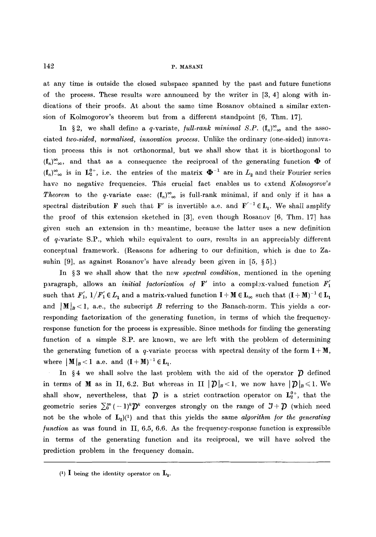at any time is outside the closed subspace spanned by the past and future functions of the process. These results were announced by the writer in [3, 4] along with indications of their proofs. At about the same time Rosanov obtained a similar extension of Kolmogorov's theorem but from a different standpoint  $[6, Thm. 17]$ .

In §2, we shall define a q-variate, *full-rank minimal S.P.*  $(f_n)_{-\infty}^{\infty}$  and the associated *two-sided, normalised, innovation process.* Unlike the ordinary (one-sided)innovation process this is not orthonormal, but we shall show that it is biorthogonal to  $(\mathbf{f}_n)_{-\infty}^{\infty}$ , and that as a consequence the reciprocal of the generating function  $\mathbf{\Phi}$  of  $(f_n)_{-\infty}^{\infty}$  is in  $L_2^{0+}$ , i.e. the entries of the matrix  $\mathbf{\Phi}^{-1}$  are in  $L_2$  and their Fourier series have no negative frequencies. This crucial fact enables us to extend *Kolmogorov's Theorem* to the q-variate case:  $(f_n)_{-\infty}^{\infty}$  is full-rank minimal, if and only if it has a spectral distribution **F** such that **F'** is invertible a.e. and  $\mathbf{F}'^{-1} \in \mathbf{L}_1$ . We shall amplify the proof of this extension sketched in [3], even though Rosanov [6, Thm. 17] has given such an extension in the meantime, because the latter uses a new definition of  $q$ -variate S.P., which while equivalent to ours, results in an appreciably different conceptual framework. (Reasons for adhering to our definition, which is due to Zasuhin [9], as against Rosanov's have already been given in [5,  $\S 5$ ].)

In §3 we shall show that the new *spectral condition*, mentioned in the opening paragraph, allows an *initial factorization of*  $\mathbf{F}'$  into a complex-valued function  $F'_1$ such that  $F'_1$ ,  $1/F'_1 \in L_1$  and a matrix-valued function  $I + M \in L_\infty$  such that  $(I + M)^{-1} \in L_1$ and  $\|M\|_{B} < 1$ , a.e., the subscript B referring to the Banach-norm. This yields a corresponding factorization of the generating function, in terms of which the frequencyresponse function for the process is expressible. Since methods for finding the generating function of a simple S.P. are known, we are left with the problem of determining the generating function of a q-variate process with spectral density of the form  $\mathbf{I} + \mathbf{M}$ , where  $|\mathbf{M}|_B < 1$  a.e. and  $(\mathbf{I} + \mathbf{M})^{-1} \in \mathbf{L}_1$ .

In §4 we shall solve the last problem with the aid of the operator  $\hat{\mathcal{D}}$  defined in terms of **M** as in II, 6.2. But whereas in II  $|\mathcal{D}|_B<1$ , we now have  $|\mathcal{D}|_B\leq 1$ . We shall show, nevertheless, that  $\hat{\mathcal{D}}$  is a strict contraction operator on  $L_2^{0+}$ , that the geometric series  $\sum_{0}^{\infty}(-1)^{k}\mathcal{D}^{k}$  converges strongly on the range of  $J+\mathcal{D}$  (which need not be the whole of  $L_2$ <sup>(1</sup>) and that this yields the same *algorithm for the generating /unction* as was found in II, 6.5, 6.6. As the frequency-response function is expressible in terms of the generating function and its reciprocal, we will have solved the prediction problem in the frequency domain.

<sup>(1)</sup> I being the identity operator on  $\mathbf{L}_{2}$ .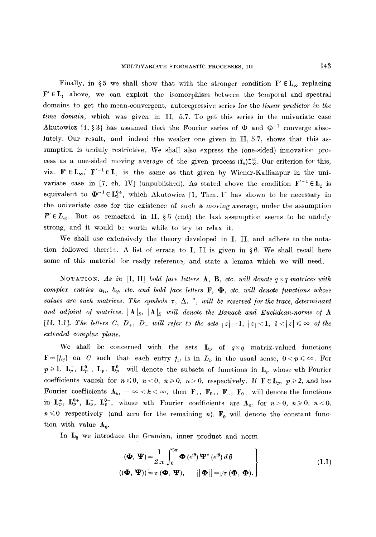Finally, in §5 we shall show that with the stronger condition  $\mathbf{F}' \in \mathbf{L}_{\infty}$  replacing  $F' \in L_1$  above, we can exploit the isomorphism between the temporal and spectral domains to get the mean-convergent, autoregressive series for the *linear predictor in the time domain,* which was given in II, 5.7. To get this series in the univariate case Akutowicz [1, §3] has assumed that the Fourier series of  $\Phi$  and  $\Phi^{-1}$  converge absolutely. Our result, and indeed the weaker one given in II, 5.7, shows that this assumption is unduly restrictive. We shall also express the (one-sided) innovation process as a one-sided moving average of the given process  $(f_n)_{-\infty}^{\infty}$ . Our criterion for this, viz.  $F' \in L_{\infty}$ ,  $F'^{-1} \in L$ , is the same as that given by Wiener-Kallianpur in the univariate case in [7, ch. IV] (unpublished). As stated above the condition  $F^{-1} \in L_1$  is equivalent to  $\mathbf{\Phi}^{-1} \in L_2^{0+}$ , which Akutowicz [1, Thm. 1] has shown to be necessary in the univariate case for the existence of such a moving average, under the assumption  $F' \in L_{\infty}$ . But as remarked in II, § 5 (end) the last assumption seems to be unduly strong, and it would be worth while to try to relax it.

We shall use extensively the theory developed in I, II, and adhere to the notation followed therein. A list of errata to I, II is given in  $\S 6$ . We shall recall here some of this material for ready reference, and state a lemma which we will need.

NOTATION. As in [I, II] bold face letters  $A, B, etc.$  will denote  $q \times q$  matrices with *complex entries*  $a_{i}$ ,  $b_{i}$ , etc. and bold face letters  $\mathbf{F}$ ,  $\mathbf{\Phi}$ , etc. will denote functions whose *values are such matrices. The symbols*  $\tau$ ,  $\Delta$ ,  $^*$ , will be reserved for the trace, determinant and adjoint of matrices.  $\mathbf{A} \mid_B$ ,  $\mathbf{A} \mid_E$  will denote the Banach and Euclidean-norms of **A** [II, 1.1]. The letters C,  $D_+$ ,  $D_-$  will refer to the sets  $|z|=1, |z|<1, 1<|z|\leq \infty$  of the *extended complex plane.* 

We shall be concerned with the sets  $\mathbf{L}_p$  of  $q \times q$  matrix-valued functions  $\mathbf{F}=[f_{ij}]$  on C such that each entry  $f_{ij}$  is in  $L_p$  in the usual sense,  $0 < p \leqslant \infty$ . For  $p\geqslant 1$ ,  $L_p^+$ ,  $L_p^-$ ,  $L_p^-$ ,  $L_p^{0-}$  will denote the subsets of functions in  $L_p$  whose nth Fourier coefficients vanish for  $n \le 0$ ,  $n < 0$ ,  $n \ge 0$ ,  $n > 0$ , respectively. If  $\mathbf{F} \in \mathbf{L}_p$ ,  $p \ge 2$ , and has Fourier coefficients  $A_k$ ,  $-\infty < k < \infty$ , then  $F_+$ ,  $F_{0+}$ ,  $F_{-}$ ,  $F_{0-}$  will denote the functions in  $\mathbf{L}_p^+$ ,  $\mathbf{L}_p^{0+}$ ,  $\mathbf{L}_p^{-}$ ,  $\mathbf{L}_p^{0-}$ , whose nth Fourier coefficients are  $\mathbf{A}_n$ , for  $n>0$ ,  $n\geq 0$ ,  $n<0$ ,  $n\leq 0$  respectively (and zero for the remaining n).  $\mathbf{F}_0$  will denote the constant function with value  $A_0$ .

In  $L_2$  we introduce the Gramian, inner product and norm

$$
\begin{aligned}\n(\boldsymbol{\Phi}, \boldsymbol{\Psi}) &= \frac{1}{2\,\pi} \int_0^{2\pi} \boldsymbol{\Phi} \left( e^{i\theta} \right) \boldsymbol{\Psi}^* \left( e^{i\theta} \right) d\,\theta \\
(\left( \boldsymbol{\Phi}, \boldsymbol{\Psi} \right)) &= \tau \left( \boldsymbol{\Phi}, \boldsymbol{\Psi} \right), \qquad \left\| \boldsymbol{\Phi} \right\| = \gamma \tau \left( \boldsymbol{\Phi}, \boldsymbol{\Phi} \right).\n\end{aligned}\n\tag{1.1}
$$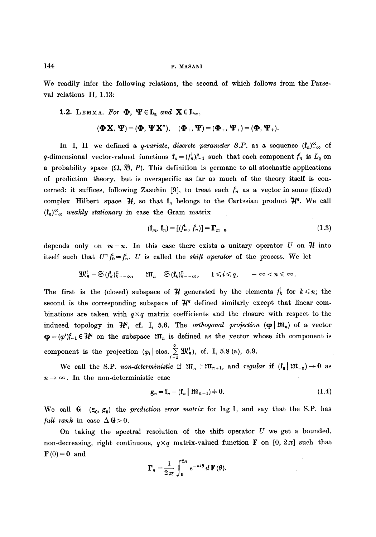We readily infer the following relations, the second of which follows from the Parseval relations II, 1.13:

# 1.2. LEMMA. For  $\Phi$ ,  $\Psi \in L_2$  and  $\mathbf{X} \in L_{\infty}$ ,

$$
(\boldsymbol{\Phi}\mathbf{X},\boldsymbol{\Psi})=(\boldsymbol{\Phi},\boldsymbol{\Psi}\mathbf{X}^*),\quad (\boldsymbol{\Phi}_+,\boldsymbol{\Psi})=(\boldsymbol{\Phi}_+,\boldsymbol{\Psi}_+)=(\boldsymbol{\Phi},\boldsymbol{\Psi}_+).
$$

In I, II we defined a *q-variate, discrete parameter S.P.* as a sequence  $(f_n)_{-\infty}^{\infty}$  of q-dimensional vector-valued functions  $f_n = (f_n^i)_{i=1}^q$  such that each component  $f_n^i$  is  $L_2$  on a probability space  $(\Omega, \mathfrak{B}, P)$ . This definition is germane to all stochastic applications of prediction theory, but is overspecific as far as much of the theory itself is concerned: it suffices, following Zasuhin [9], to treat each  $f_n^i$  as a vector in some (fixed) complex Hilbert space  $\mathcal{H}$ , so that  $f_n$  belongs to the Cartesian product  $\mathcal{H}^q$ . We call  $(f_n)_{-\infty}^{\infty}$  *weakly stationary* in case the Gram matrix

$$
(\mathbf{f}_m, \mathbf{f}_n) = \left[ \begin{matrix} f_m^i, f_n^i \end{matrix} \right] = \mathbf{\Gamma}_{m-n} \tag{1.3}
$$

depends only on  $m-n$ . In this case there exists a unitary operator U on  $\mathcal{H}$  into itself such that  $U^{\prime\prime} f_0^i = f_n^i$ . U is called the *shift operator* of the process. We let

$$
\mathfrak{M}^i_n = \mathfrak{S}(f^i_k)_{k=-\infty}^n, \quad \mathfrak{M}_n = \mathfrak{S}(\mathbf{f}_k)_{k=-\infty}^n, \quad 1 \leq i \leq q, \quad -\infty < n \leq \infty.
$$

The first is the (closed) subspace of  $\mathcal H$  generated by the elements  $f^k$  for  $k \leq n$ ; the second is the corresponding subspace of  $\mathcal{H}^q$  defined similarly except that linear combinations are taken with  $q \times q$  matrix coefficients and the closure with respect to the induced topology in  $\mathcal{H}^q$ , cf. I, 5.6. The *orthogonal projection* ( $\varphi$   $\mathfrak{M}_n$ ) of a vector  $\mathbf{\varphi} = (\varphi^i)_{i=1}^q \in \mathcal{H}^q$  on the subspace  $\mathfrak{M}_n$  is defined as the vector whose ith component is component is the projection  $(\varphi_i \mid \text{clos. } \stackrel{q}{\geq} \mathfrak{M}_n^i)$ , cf. I, 5.8 (a), 5.9.

We call the S.P. *non-deterministic* if  $m_n+m_{n+1}$ , and *regular* if  $(f_0 \mid m_{-n})\to 0$  as  $n \rightarrow \infty$ . In the non-deterministic case

$$
g_n = f_n - (f_n \mid \mathfrak{M}_{n-1}) + 0. \tag{1.4}
$$

We call  $G = (g_0, g_0)$  the *prediction error matrix* for lag 1, and say that the S.P. has *full rank* in case  $\Delta G > 0$ .

On taking the spectral resolution of the shift operator  $U$  we get a bounded, non-decreasing, right continuous,  $q \times q$  matrix-valued function F on [0, 2 $\pi$ ] such that  $\mathbf{F}(0) = 0$  and

$$
\mathbf{\Gamma}_n = \frac{1}{2 \pi} \int_0^{2\pi} e^{-ni\theta} \, d\,\mathbf{F}(\theta).
$$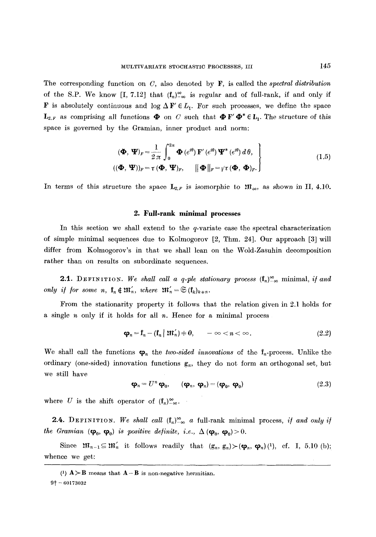The corresponding function on C, also denoted by F, is called the *spectral distribution*  of the S.P. We know [I, 7.12] that  $(f_n)_{-\infty}^{\infty}$  is regular and of full-rank, if and only if **F** is absolutely continuous and log  $\Delta \mathbf{F}' \in L_1$ . For such processes, we define the space  $\mathbf{L}_{2,F}$  as comprising all functions  $\boldsymbol{\Phi}$  on C such that  $\boldsymbol{\Phi} \mathbf{F}' \boldsymbol{\Phi}^* \in \mathbf{L}_1$ . The structure of this space is governed by the Gramian, inner product and norm:

$$
(\mathbf{\Phi}, \mathbf{\Psi})_F = \frac{1}{2\pi} \int_0^{2\pi} \mathbf{\Phi}(e^{i\theta}) \mathbf{F}'(e^{i\theta}) \mathbf{\Psi}^*(e^{i\theta}) d\theta,
$$
  

$$
((\mathbf{\Phi}, \mathbf{\Psi}))_F = \tau (\mathbf{\Phi}, \mathbf{\Psi})_F, \qquad ||\mathbf{\Phi}||_F = \gamma \tau (\mathbf{\Phi}, \mathbf{\Phi})_F.
$$
 (1.5)

In terms of this structure the space  $\mathbf{L}_{2,F}$  is isomorphic to  $\mathfrak{M}_{\infty}$ , as shown in II, 4.10.

# **2. Full-rank minimal processes**

In this section we shall extend to the q-variate case the spectral characterization of simple minimal sequences due to Kolmogorov [2, Thm. 24]. Our approach [3] will differ from Kolmogorov's in that we shall lean on the Wold-Zasuhin decomposition rather than on results on subordinate sequences.

**2.1.** DEFINITION. We shall call a q-ple stationary process  $(f_n)_{-\infty}^{\infty}$  minimal, *if and only if for some n,*  $f_n \notin \mathfrak{M}'_n$ *, where*  $\mathfrak{M}'_n = \mathfrak{S}(f_k)_{k+n}$ *.* 

From the stationarity property it follows that the relation given in 2.1 holds for a single  $n$  only if it holds for all  $n$ . Hence for a minimal process

$$
\boldsymbol{\varphi}_n = \mathbf{f}_n - (\mathbf{f}_n \mid \mathfrak{M}'_n) \doteq 0, \qquad -\infty < n < \infty. \tag{2.2}
$$

We shall call the functions  $\varphi_n$  the *two-sided innovations* of the  $f_n$ -process. Unlike the ordinary (one-sided) innovation functions  $g_n$ , they do not form an orthogonal set, but we still have

$$
\mathbf{\varphi}_n = U^n \, \mathbf{\varphi}_0, \qquad (\mathbf{\varphi}_n, \, \mathbf{\varphi}_n) = (\mathbf{\varphi}_0, \, \mathbf{\varphi}_0) \tag{2.3}
$$

where U is the shift operator of  $(f_n)_{-\infty}^{\infty}$ .

**2.4.** DEFINITION. We shall call  $(f_n)_{-\infty}^{\infty}$  a full-rank minimal process, *if and only if the Gramian*  $(\varphi_0, \varphi_0)$  *is positive definite, i.e.,*  $\Delta (\varphi_0, \varphi_0) > 0$ .

Since  $\mathfrak{M}_{n-1}\subseteq \mathfrak{M}'_n$  it follows readily that  $(g_n, g_n)\succ(\varphi_n, \varphi_n)(1)$ , cf. I, 5.10 (b); whence we get:

<sup>(1)</sup>  $A > B$  means that  $A - B$  is non-negative hermitian.

 $9\dagger - 60173032$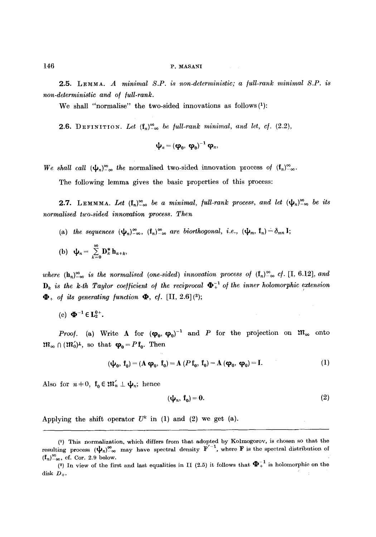2.5. LEMMA. *A minimal S.P. is non-deterministic; a /ull-rank minimal S.P. is non-deterministic and of full-rank.* 

We shall "normalise" the two-sided innovations as follows $(1)$ :

**2.6.** DEFINITION. Let  $(f_n)_{-\infty}^{\infty}$  be full-rank minimal, and let, cf.  $(2.2)$ ,

$$
\boldsymbol{\psi}_n = (\boldsymbol{\varphi}_0, \; \boldsymbol{\varphi}_0)^{-1} \; \boldsymbol{\varphi}_n,
$$

*We shall call*  $(\psi_n)_{-\infty}^{\infty}$  the normalised two-sided innovation process of  $(f_n)_{-\infty}^{\infty}$ .

The following lemma gives the basic properties of this process:

**2.7.** LEMMMA. Let  $(f_n)_{-\infty}^{\infty}$  be a minimal, full-rank process, and let  $(\psi_n)_{-\infty}^{\infty}$  be its *normalised two-sided innovation process. Then* 

- (a) the sequences  $(\psi_n)_{-\infty}^{\infty}$ ,  $(f_n)_{-\infty}^{\infty}$  are biorthogonal, i.e.,  $(\psi_m, f_n) = \delta_{mn} I;$
- (b)  $\psi_n = \sum_{k=0}^{\infty} D_k^* h_{n+k}$

*where*  $(h_n)_{-\infty}^{\infty}$  *is the normalised (one-sided) innovation process of*  $(f_n)_{-\infty}^{\infty}$  *cf.* [I, 6.12], *and*  $D_k$  is the k-th Taylor coefficient of the reciprocal  $\mathbf{\Phi}_+^{-1}$  of the inner holomorphic extension  $\mathbf{\Phi}_{+}$  of its generating function  $\mathbf{\Phi}_{+}$  cf. [II, 2.6](2);

(c)  $\Phi^{-1} \in L_2^{0+}$ .

*Proof.* (a) Write A for  $(\varphi_0, \varphi_0)^{-1}$  and P for the projection on  $\mathfrak{M}_{\infty}$  onto  $\mathfrak{m}_{\infty} \cap (\mathfrak{m}'_0)^{\perp}$ , so that  $\varphi_0 = P f_0$ . Then

$$
(\boldsymbol{\psi}_0, \mathbf{f}_0) = (\mathbf{A} \, \boldsymbol{\varphi}_0, \mathbf{f}_0) = \mathbf{A} \, (P \, \mathbf{f}_0, \mathbf{f}_0) = \mathbf{A} \, (\boldsymbol{\varphi}_0, \, \boldsymbol{\varphi}_0) = \mathbf{I}.\tag{1}
$$

Also for  $n+0$ ,  $f_0 \in \mathfrak{M}'_n \perp \psi_n$ ; hence

$$
(\mathbf{\psi}_n, \mathbf{f}_0) = \mathbf{0}.\tag{2}
$$

Applying the shift operator  $U^k$  in (1) and (2) we get (a).

<sup>(1)</sup> This normalization, which differs from that adopted by Kolmogor0v, is chosen so that the resulting process  $(\psi_n)_{-\infty}^{\infty}$  may have spectral density  $F'^{-1}$ , where **F** is the spectral distribution of  $(\mathbf{f}_n)_{-\infty}^{\infty}$ , cf. Cor. 2.9 below.

<sup>(2)</sup> In view of the first and last equalities in II (2.5) it follows that  $\mathbf{\Phi}_{+}^{-1}$  is holomorphic on the disk  $D_+$ .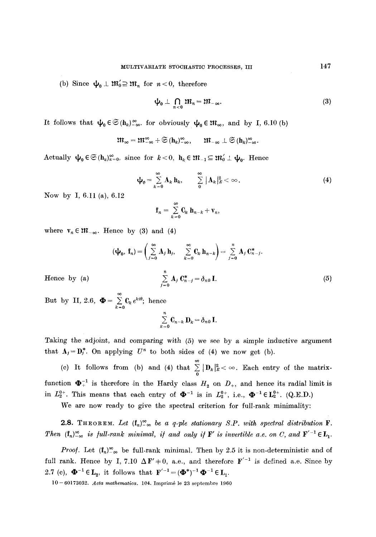(b) Since  $\psi_0 \perp m'_0 \supseteq m_n$  for  $n < 0$ , therefore

$$
\varphi_0 \perp \bigcap_{n < 0} \mathfrak{M}_n = \mathfrak{M}_{-\infty}.\tag{3}
$$

It follows that  $\psi_0 \in \mathfrak{S}(\mathbf{h}_k)_{-\infty}^{\infty}$  for obviously  $\psi_0 \in \mathfrak{M}_{\infty}$ , and by I, 6.10 (b)

$$
\mathfrak{M}_{\infty}=\mathfrak{M}_{-\infty}^{\infty}+\mathfrak{S}\left(\mathbf{h}_{k}\right)_{-\infty}^{\infty},\qquad \mathfrak{M}_{-\infty}\perp\mathfrak{S}\left(\mathbf{h}_{k}\right)_{-\infty}^{\infty}.
$$

Actually  $\psi_0 \in \mathfrak{S}(\mathbf{h}_k)_{k=0}^{\infty}$ , since for  $k < 0$ ,  $\mathbf{h}_k \in \mathfrak{M}_{-1} \subseteq \mathfrak{M}_0' \perp \psi_0$ . Hence

$$
\Psi_0 = \sum_{k=0}^{\infty} \mathbf{A}_k \, \mathbf{h}_k, \qquad \sum_{k=0}^{\infty} |\mathbf{A}_k|_E^2 < \infty.
$$
 (4)

Now by 1, 6.11 (a), 6.12

$$
\mathbf{f}_n = \sum_{k=0}^{\infty} \mathbf{C}_k \, \mathbf{h}_{n-k} + \mathbf{v}_n,
$$

where  $v_n \in \mathfrak{m}_{-\infty}$ . Hence by (3) and (4)

$$
(\mathbf{\psi}_0, \mathbf{f}_n) = \left(\sum_{j=0}^{\infty} \mathbf{A}_j \mathbf{h}_j, \sum_{k=0}^{\infty} \mathbf{C}_k \mathbf{h}_{n-k}\right) = \sum_{j=0}^{n} \mathbf{A}_j \mathbf{C}_{n-j}^*.
$$

$$
\sum_{j=0}^{n} \mathbf{A}_j \mathbf{C}_{n-j}^* = \delta_{n0} \mathbf{I}.
$$
(5)

Hence by  $(a)$ 

But by II, 2.6,  $\boldsymbol{\Phi} = \sum_{k=0}^{\infty} \mathbf{C}_k e^{kt\theta}$ ; hence

$$
\sum_{k=0}^{\infty} \mathbf{C}_{n-k} \, \mathbf{D}_k = \delta_{n0} \, \mathbf{I}.
$$

Taking the adjoint, and comparing with (5) we see by a simple inductive argument that  $A_j = D_j^*$ . On applying  $U^n$  to both sides of (4) we now get (b).

(c) It follows from (b) and (4) that  $\sum_{n=0}^{\infty} |D_k|^2 \leq \infty$ . Each entry of the matrixfunction  $\mathbf{\Phi}_{+}^{-1}$  is therefore in the Hardy class  $H_2$  on  $D_+$ , and hence its radial limit is in  $L_2^{0+}$ . This means that each entry of  $\Phi^{-1}$  is in  $L_2^{0+}$ , i.e.,  $\Phi^{-1} \in L_2^{0+}$ . (Q.E.D.)

We are now ready to give the spectral criterion for full-rank minimality:

**2.8.** THEOREM. Let  $(f_n)_{-\infty}^{\infty}$  be a q-ple stationary S.P. with spectral distribution **F**. *Then*  $(f_n)_{-\infty}^{\infty}$  *is full-rank minimal, if and only if* **F**' *is invertible a.e. on C, and*  $F'^{-1} \in L_1$ .

*Proof.* Let  $(f_n)_{\infty}^{\infty}$  be full-rank minimal. Then by 2.5 it is non-deterministic and of full rank. Hence by I, 7.10  $\Delta F' \pm 0$ , a.e., and therefore  $F'^{-1}$  is defined a.e. Since by 2.7 (c),  $\mathbf{\Phi}^{-1} \in \mathbf{L}_2$ , it follows that  $\mathbf{F}'^{-1} = (\mathbf{\Phi}^*)^{-1} \mathbf{\Phi}^{-1} \in \mathbf{L}_1$ .

10-60173032. *Acta mathematica*. 104. Imprimé le 23 septembre 1960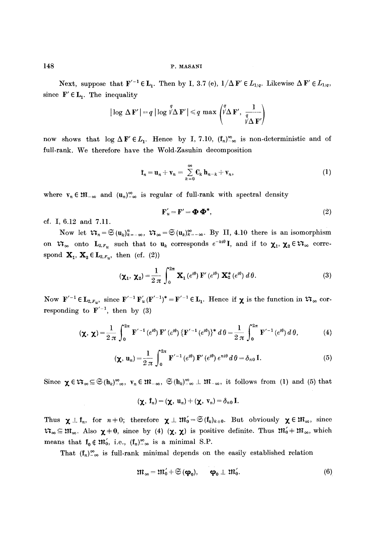Next, suppose that  $\mathbf{F}'^{-1} \in \mathbf{L}_1$ . Then by I, 3.7 (e),  $1/\Delta \mathbf{F}' \in L_{1/q}$ . Likewise  $\Delta \mathbf{F}' \in L_{1/q}$ , since  $F' \in L_1$ . The inequality

$$
|\log \Delta \mathbf{F}'| = q |\log \sqrt[p]{\Delta \mathbf{F}'}| \leq q \max \left( \sqrt[p]{\Delta \mathbf{F}'}, \frac{1}{\frac{q}{\gamma \Delta \mathbf{F}'}} \right)
$$

now shows that  $\log \Delta F \in L_1$ . Hence by I, 7.10,  $(f_n)_{-\infty}^{\infty}$  is non-deterministic and of full-rank. We therefore have the Wold-Zasuhin decomposition

$$
\mathbf{f}_n = \mathbf{u}_n + \mathbf{v}_n = \sum_{k=0}^{\infty} \mathbf{C}_k \, \mathbf{h}_{n-k} + \mathbf{v}_n, \tag{1}
$$

where  $v_n \in \mathfrak{M}_{-\infty}$  and  $(u_n)_{-\infty}^{\infty}$  is regular of full-rank with spectral density

$$
\mathbf{F}'_u = \mathbf{F}' = \mathbf{\Phi} \mathbf{\Phi}^*,\tag{2}
$$

cf. I, 6.12 and 7.11.

Now let  $\mathfrak{r}_n = \mathfrak{S}(\mathbf{u}_k)_{k=-\infty}^n$ ,  $\mathfrak{r}_\infty = \mathfrak{S}(\mathbf{u}_k)_{k=-\infty}^\infty$ . By II, 4.10 there is an isomorphism on  $\mathfrak{X}_{\infty}$  onto  $L_{2,F_u}$  such that to  $\mathbf{u}_k$  corresponds  $e^{-kt\theta}$ , and if to  $\mathbf{X}_1, \mathbf{X}_2 \in \mathfrak{X}_{\infty}$  correspond  $\mathbf{X}_1, \mathbf{X}_2 \in \mathbf{L}_{2,F_n}$ , then (cf. (2))

$$
\left(\mathbf{\chi}_{1},\,\mathbf{\chi}_{2}\right)=\frac{1}{2\,\pi}\,\int_{0}^{2\pi}\,\mathbf{X}_{1}\left(e^{i\theta}\right)\,\mathbf{F}'\left(e^{i\theta}\right)\,\mathbf{X}_{2}^{*}\left(e^{i\theta}\right)\,d\,\theta.\tag{3}
$$

Now  $\mathbf{F}'^{-1} \in \mathbf{L}_{2,F_n}$ , since  $\mathbf{F}'^{-1} \mathbf{F}'_u (\mathbf{F}'^{-1})^* = \mathbf{F}'^{-1} \in \mathbf{L}_1$ . Hence if  $\boldsymbol{\chi}$  is the function in  $\mathfrak{N}_{\infty}$  corresponding to  $\mathbf{F}'^{-1}$ , then by (3)

$$
(\chi, \chi) = \frac{1}{2 \pi} \int_0^{2\pi} \mathbf{F}'^{-1} (e^{i\theta}) \mathbf{F}' (e^{i\theta}) \{ \mathbf{F}'^{-1} (e^{i\theta}) \}^* d\theta = \frac{1}{2 \pi} \int_0^{2\pi} \mathbf{F}'^{-1} (e^{i\theta}) d\theta, \tag{4}
$$

$$
(\chi, u_n) = \frac{1}{2 \pi} \int_0^{2\pi} \mathbf{F}'^{-1} (e^{i\theta}) \mathbf{F}' (e^{i\theta}) e^{ni\theta} d\theta = \delta_{n0} \mathbf{I}.
$$
 (5)

Since  $\chi \in \mathfrak{R}_{\infty} \subseteq \mathfrak{S}(\mathfrak{h}_{k})^{\infty}_{-\infty}$ ,  $v_{n} \in \mathfrak{M}_{-\infty}$ ,  $\mathfrak{S}(\mathfrak{h}_{k})^{\infty}_{-\infty} \perp \mathfrak{M}_{-\infty}$ , it follows from (1) and (5) that

$$
(\boldsymbol{\chi},\ \mathbf{f}_n)=(\boldsymbol{\chi},\ \mathbf{u}_n)+(\boldsymbol{\chi},\ \mathbf{v}_n)=\delta_{n\mathbf{0}}\ \mathbf{I}.
$$

Thus  $\chi \perp f_n$ , for  $n+0$ ; therefore  $\chi \perp \mathfrak{M}'_0 = \mathfrak{S}(f_k)_{k+0}$ . But obviously  $\chi \in \mathfrak{M}_{\infty}$ , since  $\mathfrak{m}_{\infty} \subseteq \mathfrak{m}_{\infty}$ . Also  $\chi + 0$ , since by (4)  $(\chi, \chi)$  is positive definite. Thus  $\mathfrak{m}'_0 + \mathfrak{m}_{\infty}$ , which means that  $f_0 \notin \mathfrak{M}'_0$ , i.e.,  $(f_n)_{-\infty}^{\infty}$  is a minimal S.P.

That  $(f_n)_{-\infty}^{\infty}$  is full-rank minimal depends on the easily established relation

$$
\mathfrak{M}_{\infty} = \mathfrak{M}'_{0} + \mathfrak{S}(\mathbf{\varphi}_{0}), \qquad \mathbf{\varphi}_{0} \perp \mathfrak{M}'_{0}.
$$
 (6)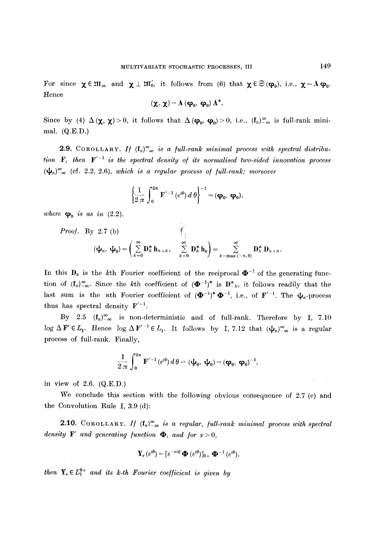For since  $\chi \in \mathfrak{M}_{\infty}$  and  $\chi \perp \mathfrak{M}'_0$ , it follows from (6) that  $\chi \in \mathfrak{S}(\varphi_0)$ , i.e.,  $\chi = A\varphi_0$ . Hence

$$
(\chi, \chi) = A (\phi_0, \phi_0) A^*.
$$

Since by (4)  $\Delta(\chi, \chi) > 0$ , it follows that  $\Delta(\phi_0, \phi_0) > 0$ , i.e.,  $(f_n)_{-\infty}^{\infty}$  is full-rank minimal. (Q.E.D.)

**2.9.** COROLLARY. If  $(f_n)_{-\infty}^{\infty}$  is a full-rank minimal process with spectral distribu*tion*  $\mathbf{F}$ , then  $\mathbf{F}'^{-1}$  is the spectral density of its normalised two-sided innovation process  $(\mathbf{\psi}_n)_{-\infty}^{\infty}$  (cf. 2.2, 2.6), *which is a regular process of full-rank; moreover* 

$$
\left\{\frac{1}{2\,\pi}\,\int_0^{2\pi}\,\mathbf{F}'^{-1}\left(e^{i\theta}\right)d\,\theta\right\}^{-1}=(\mathbf{\varphi}_0,\,\mathbf{\varphi}_0),
$$

*where*  $\varphi_0$  *is as in* (2.2).

*Proof.* By 2.7 (b)  
\n
$$
(\mathbf{\psi}_n, \mathbf{\psi}_0) = \left( \sum_{k=0}^{\infty} \mathbf{D}_k^* \mathbf{h}_{n+k}, \sum_{k=0}^{\infty} \mathbf{D}_k^* \mathbf{h}_k \right) = \sum_{k=\max\{-n,0\}}^{\infty} \mathbf{D}_k^* \mathbf{D}_{k+n}.
$$

In this  $D_k$  is the kth Fourier coefficient of the reciprocal  $\mathbf{\Phi}^{-1}$  of the generating function of  $(f_n)_{-\infty}^{\infty}$ . Since the kth coefficient of  $(\mathbf{\Phi}^{-1})^*$  is  $\mathbf{D}_{-k}^*$ , it follows readily that the last sum is the *n*th Fourier coefficient of  $(\mathbf{\Phi}^{-1})^* \mathbf{\Phi}^{-1}$ , i.e., of  $\mathbf{F}'^{-1}$ . The  $\mathbf{\psi}_n$ -process thus has spectral density  $F^{-1}$ .

By 2.5  $(f_n)_{-\infty}^{\infty}$  is non-deterministic and of full-rank. Therefore by I, 7.10 log  $\Delta \mathbf{F}' \in L_1$ . Hence log  $\Delta \mathbf{F}'^{-1} \in L_1$ . It follows by I, 7.12 that  $(\psi_n)_{-\infty}^{\infty}$  is a regular process of full-rank. Finally,

$$
\frac{1}{2\,\pi}\,\int_0^{2\pi}\,F'^{-1}\!\left(e^{i\theta}\right)d\,\theta=(\psi_0,\;\psi_0)\!=\!(\phi_0,\;\phi_0)^{-1},
$$

in view of 2.6. (Q.E.D.)

We conclude this section with the following obvious consequence of  $2.7$  (c) and the Convolution Rule I, 3.9 (d):

**2.10.** COROLLARY. If  $(f_n)_{-\infty}^{\infty}$  is a regular, full-rank minimal process with spectral *density* **F'** and generating function  $\Phi$ , and for  $\nu > 0$ ,

$$
\mathbf{Y}_{\nu}\left(e^{i\theta}\right)=[e^{-\nu i\theta}\mathbf{\Phi}\left(e^{i\theta}\right)]_{0+}\mathbf{\Phi}^{-1}\left(e^{i\theta}\right),
$$

*then*  $Y_r \n\t\in L_1^{0+}$  *and its k-th Fourier coefficient is given by*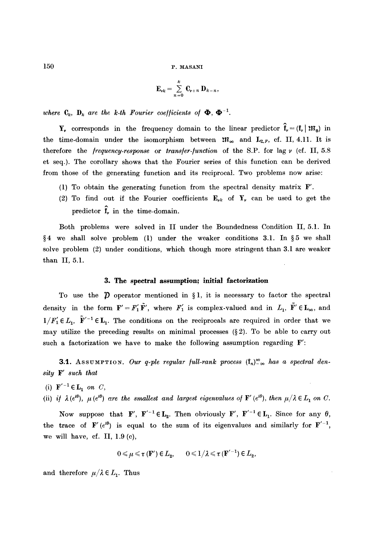$$
\mathbf{E}_{\nu k} = \sum_{n=0}^{k} \mathbf{C}_{\nu+n} \mathbf{D}_{k-n},
$$

*where*  $C_k$ ,  $D_k$  *are the k-th Fourier coefficients of*  $\Phi$ ,  $\Phi^{-1}$ .

Y<sub>v</sub> corresponds in the frequency domain to the linear predictor  $\hat{f}_v = (f_v | \mathfrak{M}_0)$  in the time-domain under the isomorphism between  $\mathfrak{m}_{\infty}$  and  $L_{2,F}$ , cf. II, 4.11. It is therefore the */requency-response* or *trans/er-/unction* of the S.P. for lag v (cf. II, 5.8 et seq.). The corollary shows that the Fourier series of this function can be derived from those of the generating function and its reciprocal. Two problems now arise:

- (1) To obtain the generating function from the spectral density matrix F'.
- (2) To find out if the Fourier coefficients  $E_{\nu k}$  of  $Y_{\nu}$  can be used to get the predictor  $\hat{\mathbf{f}}_r$  in the time-domain.

Both problems were solved in II under the Boundedness Condition II, 5.1. In  $§4$  we shall solve problem (1) under the weaker conditions 3.1. In §5 we shall solve problem (2) under conditions, which though more stringent than 3.1 are weaker than II, 5.1.

#### **3. The spectral assumption; initial factorization**

To use the  $\hat{p}$  operator mentioned in §1, it is necessary to factor the spectral density in the form  $\mathbf{F}'=F'_1\tilde{\mathbf{F}}'$ , where  $F'_1$  is complex-valued and in  $L_1$ ,  $\tilde{\mathbf{F}}'\in\mathbf{L}_{\infty}$ , and  $1/F'_1 \in L_1$ ,  $\tilde{F}'^{-1} \in L_1$ . The conditions on the reciprocals are required in order that we may utilize the preceding results on minimal processes  $(\S 2)$ . To be able to carry out such a factorization we have to make the following assumption regarding  $\mathbf{F}'$ :

**3.1.** ASSUMPTION. Our q-ple regular full-rank process  $(f_n)_{-\infty}^{\infty}$  has a spectral den*sity F' such that* 

- (i)  $\mathbf{F}'^{-1} \in \mathbf{L}_1$  *on C*,
- (ii) *if*  $\lambda(e^{i\theta})$ ,  $\mu(e^{i\theta})$  are the smallest and largest eigenvalues of  $\mathbf{F}'(e^{i\theta})$ , then  $\mu/\lambda \in L_1$  on C.

Now suppose that F',  $F'^{-1} \in L_2$ . Then obviously F',  $F'^{-1} \in L_1$ . Since for any  $\theta$ , the trace of  $\mathbf{F}'(e^{i\theta})$  is equal to the sum of its eigenvalues and similarly for  $\mathbf{F}'^{-1}$ , we will have, cf. II,  $1.9$  (c),

$$
0\leqslant\mu\leqslant\tau\left(\mathbf{F}'\right)\in L_{2},\qquad0\leqslant1/\lambda\leqslant\tau\left(\mathbf{F}'^{-1}\right)\in L_{2},
$$

and therefore  $\mu/\lambda \in L_1$ . Thus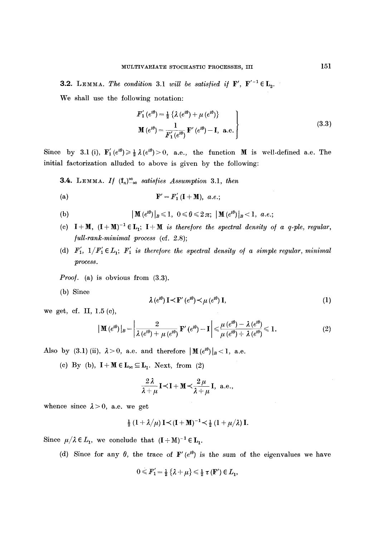**3.2.** LEMMA. The condition 3.1 will be satisfied if  $\mathbf{F}'$ ,  $\mathbf{F}'^{-1} \in \mathbf{L}_2$ .

We shall use the following notation:

$$
F'_{1}(e^{i\theta}) = \frac{1}{2} \{ \lambda (e^{i\theta}) + \mu (e^{i\theta}) \}
$$
  
\n
$$
\mathbf{M} (e^{i\theta}) = \frac{1}{F'_{1}(e^{i\theta})} \mathbf{F}' (e^{i\theta}) - \mathbf{I}, \ \mathbf{a}.\mathbf{e}.
$$
\n(3.3)

Since by 3.1 (i),  $\mathbf{F}'_1(e^{i\theta}) \ge \frac{1}{2}\lambda(e^{i\theta}) > 0$ , a.e., the function M is well-defined a.e. The initial factorization alluded to above is given by the following:

**3.4.** LEMMA. If  $(f_n)_{-\infty}^{\infty}$  satisfies Assumption 3.1, then

$$
\mathbf{F}' = F_1' (\mathbf{I} + \mathbf{M}), \ a.e.,
$$

(b) 
$$
|\mathbf{M}(e^{i\theta})|_B \le 1, 0 \le \theta \le 2\pi; |\mathbf{M}(e^{i\theta})|_B < 1, a.e.;
$$

- (c)  $I+M$ ,  $(I+M)^{-1} \in L_1$ ;  $I+M$  *is therefore the spectral density of a q-ple, regular, /ull-rank-minimal process* (cf. 2.8);
- (d)  $F'_1$ ,  $1/F'_1 \in L_1$ ;  $F'_1$  is therefore the spectral density of a simple regular, minimal *process.*

*Proof.* (a) is obvious from  $(3.3)$ .

(b) Since

$$
\lambda \left( e^{i\theta} \right) \mathbf{I} \prec \mathbf{F}' \left( e^{i\theta} \right) \prec \mu \left( e^{i\theta} \right) \mathbf{I},\tag{1}
$$

we get, cf. II, 1.5 (c),

$$
\left|\mathbf{M}\left(e^{i\theta}\right)\right|_{B}=\left|\frac{2}{\lambda\left(e^{i\theta}\right)+\mu\left(e^{i\theta}\right)}\mathbf{F}'\left(e^{i\theta}\right)-\mathbf{I}\right|\leqslant\frac{\mu\left(e^{i\theta}\right)-\lambda\left(e^{i\theta}\right)}{\mu\left(e^{i\theta}\right)+\lambda\left(e^{i\theta}\right)}\leqslant1.
$$
\n(2)

Also by (3.1)(ii),  $\lambda > 0$ , a.e. and therefore  $|\mathbf{M}(e^{i\theta})|_B < 1$ , a.e.

(c) By (b),  $I + M \in L_\infty \subseteq L_1$ . Next, from (2)

$$
\frac{2\lambda}{\lambda+\mu}\mathbf{I}\mathbf{<}\mathbf{I}+\mathbf{M}\mathbf{<}\frac{2\mu}{\lambda+\mu}\mathbf{I}, \text{ a.e.,}
$$

whence since  $\lambda > 0$ , a.e. we get

$$
\frac{1}{2} (1 + \lambda/\mu) \mathbf{I} \prec (\mathbf{I} + \mathbf{M})^{-1} \prec \frac{1}{2} (1 + \mu/\lambda) \mathbf{I}.
$$

Since  $\mu/\lambda \in L_1$ , we conclude that  $(I + M)^{-1} \in L_1$ .

(d) Since for any  $\theta$ , the trace of  $\mathbf{F}'(e^{i\theta})$  is the sum of the eigenvalues we have

$$
0 \leqslant F_1' = \frac{1}{2} \left\{ \lambda + \mu \right\} \leqslant \frac{1}{2} \tau \left( \mathbf{F}' \right) \in L_1,
$$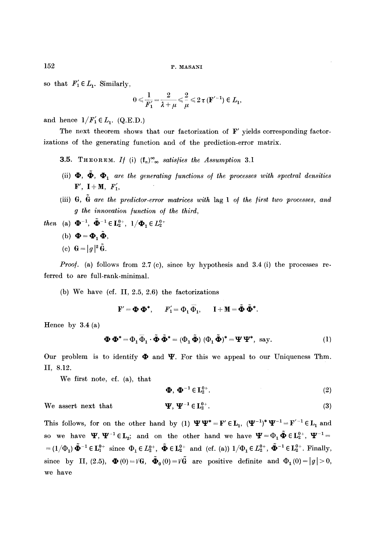so that  $F_1 \in L_1$ . Similarly,

$$
0\leqslant\frac{1}{F_1'}\!=\!\frac{2}{\lambda+\mu}\!\leqslant\!\frac{2}{\mu}\!\leqslant\!2\,\tau\,(\mathbb{F}^{\prime\,-1})\in L_1,
$$

and hence  $1/F'_1 \in L_1$ . (Q.E.D.)

The next theorem shows that our factorization of  $F'$  yields corresponding factorizations of the generating function and of the prediction-error matrix.

- **3.5.** THEOREM. If (i)  $(f_n)_{-\infty}^{\infty}$  satisfies the Assumption 3.1
- (ii)  $\Phi$ ,  $\Phi$ ,  $\Phi$ <sub>1</sub> are the generating functions of the processes with spectral densities  $F', I+M, F'_1,$
- (iii) G,  $\tilde{G}$  are the predictor-error matrices with lag 1 of the first two processes, and *g the innovation /unction o/ the third,*
- *then* (a)  $\mathbf{\Phi}^{-1}$ ,  $\tilde{\mathbf{\Phi}}^{-1} \in L_2^{0+}$ ,  $1/\mathbf{\Phi}_1 \in L_2^{0+}$ 
	- (b)  $\mathbf{\Phi} = \mathbf{\Phi}_1 \tilde{\mathbf{\Phi}},$
	- (c) **G** =  $|q|^2 \tilde{G}$ .

*Proof.* (a) follows from 2.7 (c), since by hypothesis and 3.4 (i) the processes referred to are full-rank-minimal.

(b) We have (cf. II,  $2.5, 2.6$ ) the factorizations

 $\mathbf{F}' = \mathbf{\Phi} \mathbf{\Phi}^*, \quad F_1' = \Phi_1 \overline{\Phi}_1, \quad \mathbf{I} + \mathbf{M} = \tilde{\mathbf{\Phi}} \tilde{\mathbf{\Phi}}^*.$ 

Hence by  $3.4$  (a)

$$
\mathbf{\Phi}\,\mathbf{\Phi}^* = \Phi_1\,\overline{\Phi}_1\cdot\tilde{\mathbf{\Phi}}\,\tilde{\mathbf{\Phi}}^* = (\Phi_1\,\tilde{\mathbf{\Phi}})\,(\Phi_1\,\tilde{\mathbf{\Phi}})^* = \mathbf{\Psi}\,\mathbf{\Psi}^*,\text{ say.}\tag{1}
$$

Our problem is to identify  $\boldsymbol{\Phi}$  and  $\boldsymbol{\Psi}$ . For this we appeal to our Uniqueness Thm. II, 8.12.

We first note, cf. (a), that

$$
\mathbf{\Phi}, \mathbf{\Phi}^{-1} \in \mathbf{L}_2^{0+}.\tag{2}
$$

We assert next that

 $\mathbf{\Psi}, \ \mathbf{\Psi}^{-1} \in \mathbf{L}_2^{0+}.$  (3)

This follows, for on the other hand by (1)  $\Psi\Psi^* = F' \in L_1$ ,  $(\Psi^{-1})^* \Psi^{-1} = F'^{-1} \in L_1$  and so we have  $\Psi$ ,  $\Psi^{-1} \in L_2$ ; and on the other hand we have  $\Psi = \Phi_1 \tilde{\Phi} \in L_2^{0+}$ ,  $\Psi^{-1} =$  $=(1/\Phi_1) \tilde{\mathbf{\Phi}}^{-1} \in \mathbf{L}_1^{0+}$  since  $\Phi_1 \in L_2^{0+}$ ,  $\tilde{\mathbf{\Phi}} \in \mathbf{L}_2^{0+}$  and (cf. (a))  $1/\Phi_1 \in L_2^{0+}$ ,  $\tilde{\mathbf{\Phi}}^{-1} \in \mathbf{L}_2^{0+}$ . Finally, since by II, (2.5),  $\mathbf{\Phi}(0) = V\mathbf{\hat{G}}$ ,  $\tilde{\mathbf{\Phi}}_0(0) = V\tilde{\mathbf{\hat{G}}}$  are positive definite and  $\Phi_1(0) = |g| > 0$ , we have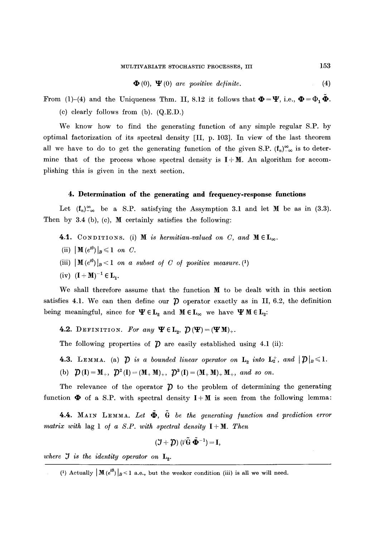$$
\mathbf{\Phi}(0), \; \mathbf{\Psi}(0) \; \text{ are positive definite.} \tag{4}
$$

From (1)-(4) and the Uniqueness Thm. II, 8.12 it follows that  $\mathbf{\Phi} = \mathbf{\Psi}$ , i.e.,  $\mathbf{\Phi} = \Phi_1 \mathbf{\Phi}$ .

(c) clearly follows from (b). (Q.E.D.)

We know how to find the generating function of any simple regular S.P. by optimal factorization of its spectral density  $[II, p. 103]$ . In view of the last theorem all we have to do to get the generating function of the given S.P.  $(f_n)_{-\infty}^{\infty}$  is to determine that of the process whose spectral density is  $I + M$ . An algorithm for accomplishing this is given in the next section.

# **4. Determination of the generating and frequency-response functions**

Let  $(f_n)_{-\infty}^{\infty}$  be a S.P. satisfying the Assymption 3.1 and let M be as in (3.3). Then by  $3.4$  (b), (c), **M** certainly satisfies the following:

- 4.1. CONDITIONS. (i) **M** *is hermitian-valued on C, and*  $M \in L_\infty$ .
- (ii)  $\|\mathbf{M}(e^{i\theta})\|_B \leq 1$  on C.
- (iii)  $\|\mathbf{M}(e^{i\theta})\|_{B} < 1$  *on a subset of C of positive measure.* (1)
- (iv)  $(I + M)^{-1} \in L_1$ .

We shall therefore assume that the function M to be dealt with in this section satisfies 4.1. We can then define our  $\tilde{\mathcal{D}}$  operator exactly as in II, 6.2, the definition being meaningful, since for  $\Psi \in L_2$  and  $M \in L_\infty$  we have  $\Psi M \in L_2$ :

4.2. DEFINITION. For any  $\Psi \in L_2$ ,  $\mathcal{D}(\Psi)=(\Psi M)_+.$ 

The following properties of  $\hat{\mathcal{D}}$  are easily established using 4.1 (ii):

**4.3.** LEMMA. (a)  $\hat{\mathcal{D}}$  *is a bounded linear operator on*  $\mathbf{L}_2$  *into*  $\mathbf{L}_2^+$ *, and*  $|\hat{\mathcal{D}}|_B \leq 1$ *.* 

(b)  $\mathcal{D}(\mathbf{I}) = \mathbf{M}_+$ ,  $\mathcal{D}^2(\mathbf{I}) = (\mathbf{M}_+ \mathbf{M})_+$ ,  $\mathcal{D}^3(\mathbf{I}) = (\mathbf{M}_+ \mathbf{M})_+ \mathbf{M}_+$ , and so on.

The relevance of the operator  $\tilde{D}$  to the problem of determining the generating function  $\Phi$  of a S.P. with spectral density  $I+M$  is seen from the following lemma:

4.4. MAIN LEMMA. Let  $\Phi$ , G be the generating function and prediction error *matrix with* lag 1 *o/ a S.P. with spectral density I + M. Then* 

$$
(\mathcal{J}+\boldsymbol{\mathcal{D}})\,(\sqrt{G}\,\tilde{\boldsymbol{\Phi}}^{-1})=\mathbf{I},
$$

*where*  $J$  *is the identity operator on*  $L_2$ .

<sup>(1)</sup> Actually  $\| M(e^{i\theta}) \|_{B} < 1$  a.e., but the weaker condition (iii) is all we will need.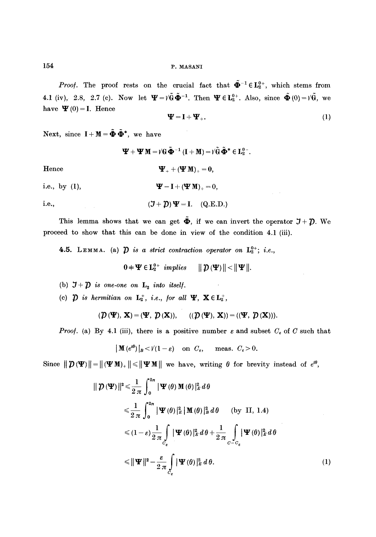*Proof.* The proof rests on the crucial fact that  $\tilde{\Phi}^{-1} \in L_2^{0+}$ , which stems from 4.1 (iv), 2.8, 2.7 (c). Now let  $\Psi = V\tilde{G}\tilde{\Phi}^{-1}$ . Then  $\Psi \in L_2^{0+}$ . Also, since  $\tilde{\Phi}(0) = V\tilde{G}$ , we have  $\Psi(0) = I$ . Hence

$$
\mathbf{\Psi} = \mathbf{I} + \mathbf{\Psi}_+ \tag{1}
$$

 $\varphi\to\varphi$ 

Next, since  $I + M = \tilde{\mathbf{\Phi}} \tilde{\mathbf{\Phi}}^*$ , we have

 $\Psi + \Psi M = V \mathbb{G} \tilde{\Phi}^{-1} (\mathbf{I} + \mathbf{M}) = V \tilde{\mathbb{G}} \tilde{\Phi}^* \in \mathbf{L}^{0-}_{2}$ . Hence  $\mathbf{\Psi}_{+} + (\mathbf{\Psi} \mathbf{M})_{+} = 0,$ i.e., by (1),  $\Psi - I + (\Psi M)_+ = 0$ , i.e.,  $(\mathcal{J} + \mathcal{D}) \Psi = I.$  (Q.E.D.)

This lemma shows that we can get  $\tilde{\Phi}$ , if we can invert the operator  $\mathcal{J} + \mathcal{D}$ . We proceed to show that this can be done in view of the condition 4.1 (iii).

4.5. LEMMA. (a)  $\hat{D}$  *is a strict contraction operator on*  $L_2^{0+}$ ; *i.e.*,

$$
0 + \mathbf{\Psi} \in \mathbf{L}_2^{0+} \quad implies \quad \parallel \mathcal{D} \left( \mathbf{\Psi} \right) \parallel < \parallel \mathbf{\Psi} \parallel.
$$

- (b)  $J+D$  *is one-one on*  $L_2$  *into itself.*
- (c)  $\hat{\mathbf{p}}$  is hermitian on  $\mathbf{L}_2^+$ , *i.e.*, for all  $\Psi$ ,  $\mathbf{X} \in \mathbf{L}_2^+$ ,

$$
(\mathcal{D}(\Psi),\mathbf{X})=(\Psi,\ \mathcal{D}(\mathbf{X})),\quad \ \ ((\mathcal{D}(\Psi),\ \mathbf{X}))=((\Psi,\ \mathcal{D}(\mathbf{X}))).
$$

*Proof.* (a) By 4.1 (iii), there is a positive number  $\varepsilon$  and subset  $C_{\varepsilon}$  of C such that

$$
|\mathbf{M}(e^{i\theta})|_B < \mathcal{V}(1-\varepsilon) \quad \text{on } C_{\varepsilon}, \quad \text{meas. } C_{\varepsilon} > 0.
$$

Since  $||\mathcal{D}(\Psi)|| = ||(\Psi \mathbf{M})_+|| \leq ||\Psi \mathbf{M}||$  we have, writing  $\theta$  for brevity instead of  $e^{i\theta}$ ,

$$
\|\mathcal{D}(\mathbf{\Psi})\|^2 \leq \frac{1}{2\pi} \int_0^{2\pi} |\mathbf{\Psi}(\theta) \mathbf{M}(\theta)|_E^2 d\theta
$$
  
\n
$$
\leq \frac{1}{2\pi} \int_0^{2\pi} |\mathbf{\Psi}(\theta)|_E^2 |\mathbf{M}(\theta)|_B^2 d\theta \qquad \text{(by II, 1.4)}
$$
  
\n
$$
\leq (1-\varepsilon) \frac{1}{2\pi} \int_{C_{\varepsilon}} |\mathbf{\Psi}(\theta)|_E^2 d\theta + \frac{1}{2\pi} \int_{C_{-\varepsilon}} |\mathbf{\Psi}(\theta)|_E^2 d\theta
$$
  
\n
$$
\leq \|\mathbf{\Psi}\|^2 - \frac{\varepsilon}{2\pi} \int_{C_{\varepsilon}} |\mathbf{\Psi}(\theta)|_E^2 d\theta. \qquad (1)
$$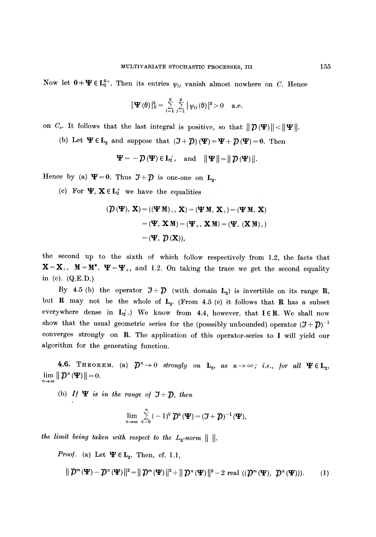Now let  $0+\Psi \in L_2^{0+}$ . Then its entries  $\psi_{ij}$  vanish almost nowhere on C. Hence

$$
\|\mathbf{\Psi}(\theta)\|_{E}^{2}=\sum_{i=1}^{q}\sum_{j=1}^{q}|\psi_{ij}(\theta)|^{2}>0 \quad \text{a.e.}
$$

on  $C_{\epsilon}$ . It follows that the last integral is positive, so that  $||\mathcal{D}(\Psi)|| < ||\Psi||$ .

(b) Let  $\Psi \in L_2$  and suppose that  $(\mathcal{J} + \mathcal{D}) (\Psi) = \Psi + \mathcal{D} (\Psi) = 0$ . Then

 $\Psi = -\mathcal{D}(\Psi) \in \mathbf{L}_2^+, \text{ and } ||\Psi|| = ||\mathcal{D}(\Psi)||.$ 

Hence by (a)  $\Psi=0$ . Thus  $\mathcal{J}+\mathcal{D}$  is one-one on  $L_2$ .

(c) For  $\Psi$ ,  $X \in L_2^+$  we have the equalities

$$
(\mathcal{D}(\mathbf{\Psi}), \mathbf{X}) = ((\mathbf{\Psi} \mathbf{M})_{+}, \mathbf{X}) = (\mathbf{\Psi} \mathbf{M}, \mathbf{X}_{+}) = (\mathbf{\Psi} \mathbf{M}, \mathbf{X})
$$

$$
= (\mathbf{\Psi}, \mathbf{X} \mathbf{M}) = (\mathbf{\Psi}_{+}, \mathbf{X} \mathbf{M}) = (\mathbf{\Psi}, (\mathbf{X} \mathbf{M})_{+})
$$

$$
= (\mathbf{\Psi}, \mathcal{D}(\mathbf{X})),
$$

the second up to the sixth of which follow respectively from 1.2, the facts that  $X=X_+$ ,  $M=M^*$ .  $\Psi=\Psi_+$ , and 1.2. On taking the trace we get the second equality in (c). (Q.E.D.)

By 4.5 (b) the operator  $\mathfrak{I}+\mathfrak{D}$  (with domain  $L_2$ ) is invertible on its range R, but R may not be the whole of  $L_2$ . (From 4.5 (c) it follows that R has a subset everywhere dense in  $L_2^+$ .) We know from 4.4, however, that  $I \in \mathbb{R}$ . We shall now show that the usual geometric series for the (posssibly unbounded) operator  $(\mathcal{J} + \mathcal{D})^{-1}$ converges strongly on R. The application of this operator-series to I will yield our algorithm for the generating function.

4.6. THEOREM. (a)  $\mathcal{D}^n\to 0$  strongly on  $\mathbf{L}_2$ , as  $n\to\infty$ ; i.e., for all  $\Psi \in \mathbf{L}_2$ ,  $\lim_{n\to\infty}||\mathcal{D}^n(\mathbf{\Psi})||=0.$ 

(b) *If*  $\Psi$  *is in the range of*  $J + \mathcal{D}$ *, then* 

$$
\lim_{n\to\infty}\sum_{k=0}^n(-1)^k\,\mathcal{D}^k(\mathbf{\Psi})=(\mathbf{J}+\mathbf{\mathcal{D}})^{-1}(\mathbf{\Psi}),
$$

*the limit being taken with respect to the*  $L_2\text{-norm}$  *|| ||.* 

*Proof.* (a) Let  $\Psi \in L_2$ . Then, cf. 1.1,

$$
\|\mathcal{D}^m(\mathbf{\Psi})-\mathcal{D}^n(\mathbf{\Psi})\|^2=\|\mathcal{D}^m(\mathbf{\Psi})\|^2+\|\mathcal{D}^n(\mathbf{\Psi})\|^2-2\text{ real }((\mathcal{D}^m(\mathbf{\Psi}),\ \mathcal{D}^n(\mathbf{\Psi}))).\qquad (1)
$$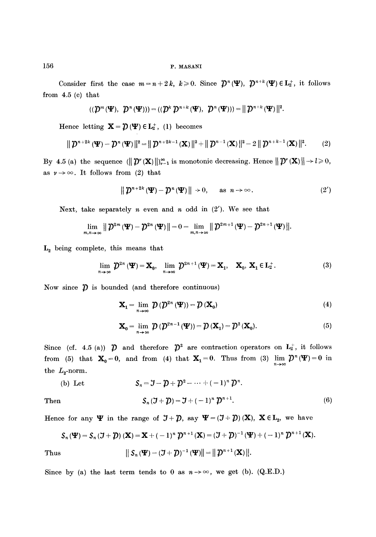Consider first the case  $m=n+2k, k\geqslant 0$ . Since  $\mathcal{D}^n(\Psi)$ ,  $\mathcal{D}^{n+k}(\Psi) \in L_2^+$ , it follows from 4.5 (c) that

$$
((\mathcal{D}^m(\Psi), \ \mathcal{D}^n(\Psi))) = ((\mathcal{D}^k \ \mathcal{D}^{n+k}(\Psi), \ \mathcal{D}^n(\Psi))) = || \ \mathcal{D}^{n+k}(\Psi) ||^2.
$$

Hence letting  $\mathbf{X}=\mathbf{\hat{D}}(\mathbf{\Psi})\in \mathbf{L}_2^+$ , (1) becomes

$$
\|\mathcal{D}^{n+2k}(\mathbf{\Psi})-\mathcal{D}^{n}(\mathbf{\Psi})\|^{2}=\|\mathcal{D}^{n+2k-1}(\mathbf{X})\|^{2}+\|\mathcal{D}^{n-1}(\mathbf{X})\|^{2}-2\|\mathcal{D}^{n+k-1}(\mathbf{X})\|^{2}.
$$
 (2)

By 4.5 (a) the sequence  $(\|\mathcal{D}^*(\mathbf{X})\|)_{r=1}^{\infty}$  is monotonic decreasing. Hence  $\|\mathcal{D}^*(\mathbf{X})\| \to l \geq 0$ , as  $\nu \rightarrow \infty$ . It follows from (2) that

$$
\|\mathcal{D}^{n+2k}(\mathbf{\Psi})-\mathcal{D}^{n}(\mathbf{\Psi})\|\to 0, \quad \text{as } n\to\infty.
$$
 (2')

Next, take separately  $n$  even and  $n$  odd in  $(2')$ . We see that

$$
\lim_{m,n\to\infty}\left\|\mathcal{D}^{2m}\left(\mathbf{\Psi}\right)-\mathcal{D}^{2n}\left(\mathbf{\Psi}\right)\right\|=0=\lim_{m,n\to\infty}\left\|\mathcal{D}^{2m+1}\left(\mathbf{\Psi}\right)-\mathcal{D}^{2n+1}\left(\mathbf{\Psi}\right)\right\|.
$$

 $L_2$  being complete, this means that

$$
\lim_{n\to\infty}\mathcal{D}^{2n}\left(\mathbf{\Psi}\right)=\mathbf{X}_{0},\quad\lim_{n\to\infty}\mathcal{D}^{2n+1}\left(\mathbf{\Psi}\right)=\mathbf{X}_{1},\quad\mathbf{X}_{0},\ \mathbf{X}_{1}\in\mathbf{L}_{2}^{+}.\tag{3}
$$

Now since  $\hat{p}$  is bounded (and therefore continuous)

$$
\mathbf{X}_{1} = \lim_{n \to \infty} \mathcal{D} \left( \mathcal{D}^{2n} \left( \mathbf{\Psi} \right) \right) = \mathcal{D} \left( \mathbf{X}_{0} \right) \tag{4}
$$

$$
\mathbf{X}_0 = \lim_{n \to \infty} \mathcal{D} \left( \mathcal{D}^{2n-1} \left( \mathbf{\Psi} \right) \right) = \mathcal{D} \left( \mathbf{X}_1 \right) = \mathcal{D}^2 \left( \mathbf{X}_0 \right). \tag{5}
$$

Since (cf. 4.5 (a))  $\hat{\mathcal{D}}$  and therefore  $\hat{\mathcal{D}}^2$  are contraction operators on  $L_2^+$ , it follows from (5) that  $\mathbf{X}_0=0$ , and from (4) that  $\mathbf{X}_1=0$ . Thus from (3)  $\lim_{n\to\infty} \mathcal{D}^n(\mathbf{\Psi})=0$  in the  $L_{2}$ -norm.

(b) Let 
$$
S_n = \mathcal{J} - \mathcal{D} + \mathcal{D}^2 - \dots + (-1)^n \mathcal{D}^n.
$$
  
Then 
$$
S_n(\mathcal{J} + \mathcal{D}) = \mathcal{J} + (-1)^n \mathcal{D}^{n+1}.
$$
 (6)

Hence for any  $\Psi$  in the range of  $J+\mathcal{D}$ , say  $\Psi=(J+\mathcal{D})(\mathbf{X})$ ,  $\mathbf{X}\in\mathbf{L}_2$ , we have

$$
\mathcal{S}_n(\mathbf{\Psi}) = \mathcal{S}_n(\mathbf{\mathcal{J}} + \mathbf{\mathcal{D}}) (\mathbf{X}) = \mathbf{X} + (-1)^n \mathbf{\mathcal{D}}^{n+1} (\mathbf{X}) = (\mathbf{\mathcal{J}} + \mathbf{\mathcal{D}})^{-1} (\mathbf{\Psi}) + (-1)^n \mathbf{\mathcal{D}}^{n+1} (\mathbf{X}).
$$

Thus 
$$
\|S_n(\Psi) - (\mathcal{J} + \mathcal{D})^{-1}(\Psi)\| = \|\mathcal{D}^{n+1}(\mathbf{X})\|.
$$

Since by (a) the last term tends to 0 as  $n \rightarrow \infty$ , we get (b). (Q.E.D.)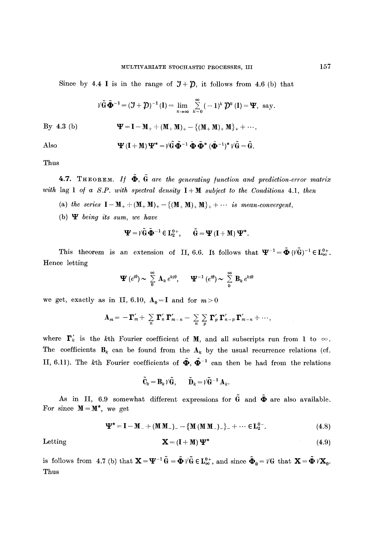Since by 4.4 I is in the range of  $J+D$ , it follows from 4.6 (b) that

$$
\tilde{\mathcal{W}} \tilde{\mathbf{\Phi}}^{-1} = (\mathcal{J} + \mathcal{D})^{-1} (\mathbf{I}) = \lim_{n \to \infty} \sum_{k=0}^{\infty} (-1)^k \mathcal{D}^k (\mathbf{I}) = \mathbf{\Psi}, \text{ say.}
$$

By 4.3 (b) 
$$
\Psi = I - M_{+} + (M_{+} M)_{+} - \{(M_{+} M)_{+} M\}_{+} + \cdots
$$

Also

$$
\Psi\left(I+M\right)\Psi^{*}=\H\hat{G}\,\tilde{\Phi}^{-1}\,\tilde{\Phi}\,\tilde{\Phi}^{*}\,(\tilde{\Phi}^{-1})^{*}\,\H\H\hat{G}=\tilde{G}.
$$

Thus

**4.7.** THEOREM. *If*  $\tilde{\Phi}$ ,  $\tilde{G}$  are the generating function and prediction-error matrix *with* lag 1 of a S.P. with spectral density  $I + M$  subject to the Conditions 4.1, then

- (a) *the series*  $I M_{+} + (M_{+} M)_{+} \{(M_{+} M)_{+} M\}_{+} + \cdots$  *is mean-convergent,*
- (b) W *being its sum, we have*

$$
\Psi = \tilde{\mathcal{V}} \tilde{\mathbf{G}} \, \tilde{\boldsymbol{\Phi}}^{-1} \, \in \mathbf{L}_2^{0+}, \qquad \tilde{\mathbf{G}} = \boldsymbol{\Psi} \left( \mathbf{I} + \mathbf{M} \right) \boldsymbol{\Psi}^*.
$$

This theorem is an extension of II, 6.6. It follows that  $\Psi^{-1} = \tilde{\Phi} (V \tilde{G})^{-1} \in L_{\infty}^{0+}$ . Hence letting

$$
\mathbf{\Psi}\,(e^{i\theta})\sim\,\sum_{0}^{\infty}\,\mathbf{A}_k\,e^{ki\theta},\qquad\mathbf{\Psi}^{-1}\,(e^{i\theta})\sim\,\sum_{0}^{\infty}\,\mathbf{B}_k\,e^{ki\theta}
$$

we get, exactly as in II, 6.10,  $A_0 = I$  and for  $m > 0$ 

$$
\mathbf{A}_m = -\mathbf{\Gamma}'_m + \sum_{n} \mathbf{\Gamma}'_n \mathbf{\Gamma}'_{m-n} - \sum_{n} \sum_{p} \mathbf{\Gamma}'_p \mathbf{\Gamma}'_{n-p} \mathbf{\Gamma}'_{m-n} + \cdots,
$$

where  $\mathbf{\Gamma}'_k$  is the kth Fourier coefficient of M, and all subscripts run from 1 to  $\infty$ . The coefficients  $B_k$  can be found from the  $A_k$  by the usual recurrence relations (cf. II, 6.11). The kth Fourier coefficients of  $\tilde{\Phi}$ ,  $\tilde{\Phi}^{-1}$  can then be had from the relations

$$
\tilde{\mathbf{C}}_k = \mathbf{B}_k \, \mathbf{\hat{G}}, \qquad \tilde{\mathbf{D}}_k = \mathbf{\hat{G}}^{-1} \, \mathbf{A}_k.
$$

As in II, 6.9 somewhat different expressions for  $\tilde{G}$  and  $\tilde{\Phi}$  are also available. For since  $M = M^*$ , we get

$$
\mathbf{\Psi}^* = \mathbf{I} - \mathbf{M}_- + (\mathbf{M} \mathbf{M}_-) - \{ \mathbf{M} (\mathbf{M} \mathbf{M}_-) \} _- + \cdots \in \mathbf{L}_2^{0-}.
$$
 (4.8)

Letting

$$
\mathbf{X} = (\mathbf{I} + \mathbf{M}) \, \mathbf{\Psi}^* \tag{4.9}
$$

is follows from 4.7 (b) that  $\mathbf{X} = \mathbf{\Psi}^{-1} \tilde{\mathbf{\theta}} = \tilde{\mathbf{\Phi}} V \tilde{\mathbf{\theta}} \in \mathbf{L}_{\infty}^{0+}$ , and since  $\tilde{\mathbf{\Phi}}_0 = V \mathbf{\theta}$  that  $\mathbf{X} = \tilde{\mathbf{\Phi}} V \mathbf{X}_0$ . Thus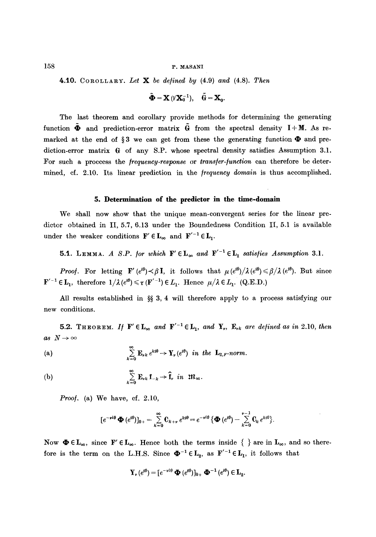**4.10.** COROLLARY. Let  $X$  be defined by (4.9) and (4.8). Then

$$
\tilde{\mathbf{\Phi}} = \mathbf{X} \, (\mathbf{V} \mathbf{X}_0^{-1}), \quad \tilde{\mathbf{G}} = \mathbf{X}_0.
$$

The last theorem and corollary provide methods for determining the generating function  $\tilde{\Phi}$  and prediction-error matrix  $\tilde{G}$  from the spectral density I+M. As remarked at the end of §3 we can get from these the generating function  $\Phi$  and prediction-error matrix  $\theta$  of any S.P. whose spectral density satisfies Assumption 3.1. For such a proccess the */requency-response* or *trans/er-/unction* can therefore be determined, cf. 2.10. Its linear prediction in the *frequency domain* is thus accomplished.

# **5. Determination of the predictor in the time-domain**

We shall now show that the unique mean-convergent series for the linear predictor obtained in II, 5.7, 6.13 under the Boundedness Condition II, 5.1 is available under the weaker conditions  $\mathbf{F}' \in \mathbf{L}_{\infty}$  and  $\mathbf{F}'^{-1} \in \mathbf{L}_1$ .

**5.1.** LEMMA. A S.P. for which  $\mathbf{F}' \in \mathbf{L}_{\infty}$  and  $\mathbf{F}'^{-1} \in \mathbf{L}_1$  satisfies Assumption 3.1.

*Proof.* For letting F'  $(e^{i\theta}) \prec \beta I$ , it follows that  $\mu (e^{i\theta}) / \lambda (e^{i\theta}) \leq \beta / \lambda (e^{i\theta})$ . But since  $\mathbf{F}'^{-1} \in \mathbf{L}_1$ , therefore  $1/\lambda(e^{i\theta}) \leq \tau(\mathbf{F}'^{-1}) \in L_1$ . Hence  $\mu/\lambda \in L_1$ . (Q.E.D.)

All results established in  $\S$  3, 4 will therefore apply to a process satisfying our new conditions.

5.2. THEOREM. If  $\mathbf{F}' \in \mathbf{L}_{\infty}$  and  $\mathbf{F}'^{-1} \in \mathbf{L}_1$ , and  $\mathbf{Y}_r$ ,  $\mathbf{E}_{rk}$  are defined as in 2.10, then  $as~N\rightarrow\infty$ 

(a) 
$$
\sum_{k=0}^{\infty} \mathbf{E}_{rk} e^{kt\theta} \to \mathbf{Y}_{r}(e^{i\theta}) \text{ in the } \mathbf{L}_{2,F} \text{-norm}.
$$

(b) 
$$
\sum_{k=0}^{\infty} \mathbf{E}_{\nu k} \mathbf{f}_{-k} \rightarrow \hat{\mathbf{f}}_{\nu} \quad in \quad \mathfrak{M}_{\infty}
$$

*Proof.* (a) We have, cf. 2.10,

$$
[e^{-\nu i\theta}\mathbf{\Phi}(e^{i\theta})]_{0+}=\sum_{k=0}^{\infty}\mathbf{C}_{k+\nu}e^{ki\theta}=e^{-\nu i\theta}\{\mathbf{\Phi}(e^{i\theta})-\sum_{k=0}^{\nu-1}\mathbf{C}_k e^{ki\theta}\}.
$$

Now  $\Phi \in L_{\infty}$ , since  $F' \in L_{\infty}$ . Hence both the terms inside  $\{\}$  are in  $L_{\infty}$ , and so therefore is the term on the L.H.S. Since  $\Phi^{-1} \in L_2$ , as  $F'^{-1} \in L_1$ , it follows that

$$
\mathbf{Y}_{\nu}(e^{i\theta}) = [e^{-\nu i\theta} \mathbf{\Phi}(e^{i\theta})]_{0+} \mathbf{\Phi}^{-1}(e^{i\theta}) \in \mathbf{L}_{2}.
$$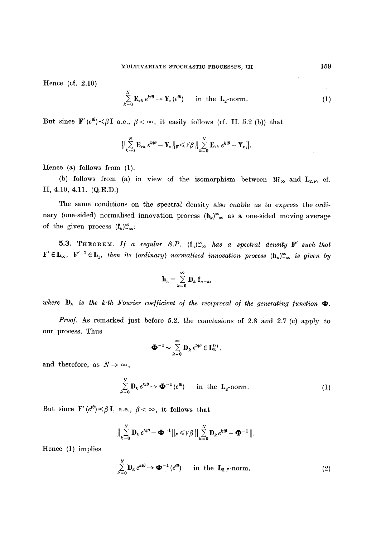Hence (cf. 2.10)

$$
\sum_{k=0}^{N} \mathbf{E}_{r,k} e^{kt\theta} \to \mathbf{Y}_{r} (e^{i\theta}) \quad \text{in the } \mathbf{L}_{2} \text{-norm.}
$$
 (1)

But since  $\mathbf{F}'(e^{i\theta}) \prec \beta \mathbf{I}$  a.e.,  $\beta < \infty$ , it easily follows (cf. II, 5.2 (b)) that

$$
\Big\|\sum_{k=0}^N \mathbf{E}_{\nu k} e^{kt\theta}-\mathbf{Y}_{\nu}\Big\|_F\leqslant \text{Var}\Big\|\sum_{k=0}^N \mathbf{E}_{\nu k} e^{kt\theta}-\mathbf{Y}_{\nu}\Big\|.
$$

Hence (a) follows from (1).

(b) follows from (a) in view of the isomorphism between  $\mathfrak{M}_{\infty}$  and  $L_{2,F}$ , cf. II, 4.10, 4.11. (Q.E.D.)

The same conditions on the spectral density also enable us to express the ordinary (one-sided) normalised innovation process  $(h_k)_{-\infty}^{\infty}$  as a one-sided moving average of the given process  $(f_k)_{-\infty}^{\infty}$ .

5.3. THEOREM. *If a regular S.P.*  $(f_n)_{-\infty}^{\infty}$  *has a spectral density* F' such that  $F' \in L_{\infty}$ ,  $F'^{-1} \in L_1$ , then its (ordinary) normalised innovation process  $(h_n)_{-\infty}^{\infty}$  is given by

$$
\mathbf{h}_n = \sum_{k=0}^{\infty} \mathbf{D}_k \; \mathbf{f}_{n-k},
$$

where  $D_k$  is the k-th Fourier coefficient of the reciprocal of the generating function  $\Phi$ .

*Proof.* As remarked just before 5.2, the conclusions of 2.8 and 2.7 (e) apply to our process. Thus

$$
\mathbf{\Phi}^{-1} \sim \sum_{k=0}^{\infty} \mathbf{D}_k e^{kt\theta} \in \mathbf{L}_2^{0+},
$$

and therefore, as  $N \rightarrow \infty$ ,

$$
\sum_{k=0}^{N} \mathbf{D}_k e^{kt\theta} \to \mathbf{\Phi}^{-1}(e^{i\theta}) \quad \text{in the } \mathbf{L}_2\text{-norm}.
$$
 (1)

But since  $\mathbf{F}'(e^{i\theta}) \leq \beta \mathbf{I}$ , a.e.,  $\beta \leq \infty$ , it follows that

$$
\Big\| \sum_{k=0}^N \mathbf{D}_k e^{kt\theta} - \mathbf{\Phi}^{-1} \Big\|_F \leq \sqrt{\beta} \Big\| \sum_{k=0}^N \mathbf{D}_k e^{kt\theta} - \mathbf{\Phi}^{-1} \Big\|.
$$

Hence (1) implies

$$
\sum_{k=0}^{N} \mathbf{D}_k e^{kt\theta} \to \mathbf{\Phi}^{-1} (e^{t\theta}) \quad \text{in the } \mathbf{L}_{2,F} \text{-norm.}
$$
 (2)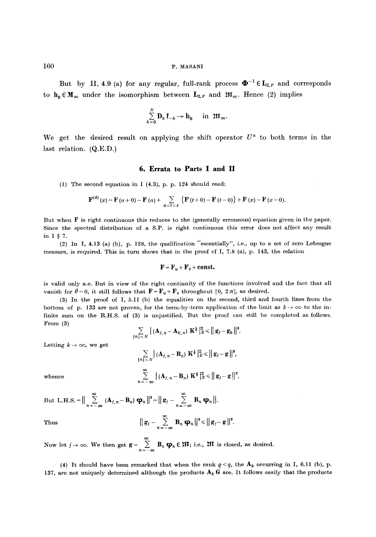But by II, 4.9 (a) for any regular, full-rank process  $\mathbf{\Phi}^{-1} \in L_{2,F}$  and corresponds to  $h_0 \in M_\infty$  under the isomorphism between  $L_{2,F}$  and  $\mathfrak{M}_\infty$ . Hence (2) implies

$$
\sum_{k=0}^N \mathbf{D}_k \mathbf{f}_{-k} \to \mathbf{h}_0 \quad \text{in } \mathfrak{M}_{\infty}.
$$

We get the desired result on applying the shift operator  $U<sup>n</sup>$  to both terms in the last relation. (Q.E.D.)

#### **6. Errata to Parts I and II**

(1) The second equation in I (4.3), p. p. 124 should read:

$$
\mathbf{F}^{(d)}(x) = \mathbf{F}(a+0) - \mathbf{F}(a) + \sum_{a < t < x} \{ \mathbf{F}(t+0) - \mathbf{F}(t-0) \} + \mathbf{F}(x) - \mathbf{F}(x-0).
$$

But when  $F$  is right continuous this reduces to the (generally erroneous) equation given in the paper. Since the spectral distribution of a S.P. is right continuous this error does not affect any result in  $I \S 7$ .

(2) In I, 4.13 (a) (b), p. 128, the qualification "essentially", i.e., up to a set of zero Lebesgue measure, is required. This in turn shows that in the proof cf I, 7.8 (a), p. 143, the relation

$$
\mathbf{F} = \mathbf{F}_u + \mathbf{F}_v + \mathbf{const.}
$$

is valid only a.e. But in view of the right continuity of the functions involved and the fact that all vanish for  $\theta = 0$ , it still follows that  $\mathbf{F} = \mathbf{F}_u + \mathbf{F}_v$  throughout [0, 2 $\pi$ ], as desired.

(3) In the proof of I, 5.11 (b) the equalities on the second, third and fourth lines from the bottom of p. 133 are not proven, for the term-by-term application of the limit as  $k \to \infty$  to the infinite sum on the R.H.S. of (3) is unjustified. But the proof can still be completed as follows. From (3)

$$
\sum_{|n|
$$

Letting  $k \to \infty$ , we get

$$
\sum_{\{n\} \leq N} |(\mathbf{A}_{j,n} - \mathbf{B}_n) \mathbf{K}^{\frac{1}{2}}|_{E}^{2} \leq ||g_j - g||^{2},
$$
  

$$
\sum_{n=1}^{\infty} |(\mathbf{A}_{j,n} - \mathbf{B}_n) \mathbf{K}^{\frac{1}{2}}|_{E}^{2} \leq ||g_j - g||^{2}.
$$

whence

**Thus** 

But L.H.S. =  $\left\| \sum_{n=-\infty} \left( \mathbf{A}_{j,n} - \mathbf{B}_n \right) \mathbf{\varphi}_n \right\| = \left\| \mathbf{g}_j - \sum_{n=-\infty} \mathbf{g}_n \right\|$ 

$$
\|\mathbf{g}_j-\sum_{n=-\infty}^{\infty}\mathbf{B}_n\,\mathbf{\varphi}_n\|^2 \leq \|\mathbf{g}_j-\mathbf{g}\|^2.
$$

Now let  $j \to \infty$ . We then get  $\mathbf{g} = \sum_{n = -\infty} \mathbf{B}_n \mathbf{\varphi}_n \in \mathfrak{M}$ ; i.e.,  $\mathfrak{M}$  is closed, as desired.

(4) It should have been remarked that when the rank  $\rho < q$ , the  $A_k$  occurring in I, 6.11 (b), p. 137, are not uniquely determined although the products  $A_k G$  are. It follows easily that the products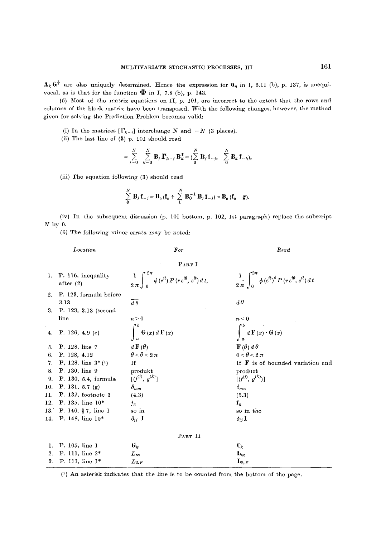$A_k$   $G^{\frac{1}{2}}$  are also uniquely determined. Hence the expression for  $u_n$  in I, 6.11 (b), p. 137, is unequivocal, as is that for the function  $\mathbf{\Phi}$  in I, 7.8 (b), p. 143.

(5) Most of the matrix equations on II, p. 101, are incorrect to the extent that the rows and columns of the block matrix have been transposed. With the following changes, however, the method given for solving the Prediction Problem becomes valid:

- (i) In the matrices  $[\Gamma_{k-j}]$  interchange N and  $-N$  (3 places).
- (ii) The last line of (3) p, 101 should read

$$
= \sum_{j=0}^N \sum_{k=0}^N {\bf B}_j \, {\bf \Gamma}_{k-j} \, {\bf B}_k^* = (\sum_0^N {\bf B}_j \, {\bf f}_{-j}, \sum_0^N {\bf B}_k \, {\bf f}_{-k}),
$$

(iii) The equation following (3) should read

$$
\sum_{0}^{N} \mathbf{B}_{j} \mathbf{f}_{-j} = \mathbf{B}_{0} (\mathbf{f}_{0} + \sum_{1}^{N} \mathbf{B}_{0}^{-1} \mathbf{B}_{j} \mathbf{f}_{-j}) = \mathbf{B}_{0} (\mathbf{f}_{0} - \mathbf{g}).
$$

 $(iv)$  In the subsequent discussion  $(p. 101)$  bottom, p. 102, 1st paragraph) replace the subscript  $N$  by 0.

(6) The following minor errata may be noted:

*Location For Read* 

PART I

 $\frac{1}{2\pi} \int_{0}^{2\pi} \phi(e^{it}) P(r e^{i\theta}, e^{it}) dt,$ 1. P. 116, inequality  $\frac{1}{2\pi} \int_{0}^{2\pi} \phi(e^{it}) P(r e^{i\theta}, e^{it}) dt$ ,  $\frac{1}{2\pi} \int_{0}^{2\pi} \phi(e^{it})^{\delta} P(r e^{i\theta}, e^{it}) dt$ 2. P. 123, formula before 3.13  $d\theta$ 3. P. 123, 3.13 (second line  $n > 0$  and  $n < 0$  $\int_{a}^{b}\mathbf{G}\left( x\right) d\mathbf{\,F}\left( x\right)$ 4. P. 126, 4.9 (c) 5. P. 128, line 7  $d\mathbf{F}(\theta)$   $\mathbf{F}(\theta) d\theta$ 6. P. 128, 4.12  $\theta < \theta < 2\pi$   $0 < \theta < 2\pi$ 7. P, 128, line  $3*(1)$  If  $\overline{F}$  is of bounded variation and 8. P. 130, line 9 produkt product 9. P. 130, 5.4, formula  $[(f^{(j)}, g^{(k)})]$   $[(f^{(j)}, g^{(k)})]$ 10. P. 131, 5.7 (g)  $\delta_{mm}$   $\delta_{mm}$ 11. P. 132, footnote 3 (4.3) (5.3) 12. P. 135, line  $10^*$   $f_n$  f<sub>n</sub> 13.' P. 140, § 7, line 1 so in the so in the 14. P. 148, line  $10^*$   $\delta_{ij}$  I  $\delta_{ij}$ PART II 1. P. 105, line 1  $G_k$   $C_k$ 2. P. 111, line  $2^*$   $L_{\infty}$   $L_{\infty}$ 3. P. 111, line 1\*  $L_{2,F}$   $L_{2,F}$   $L_{2,F}$ 

(1) An asterisk indicates that the line is to be counted from the bottom of the page.